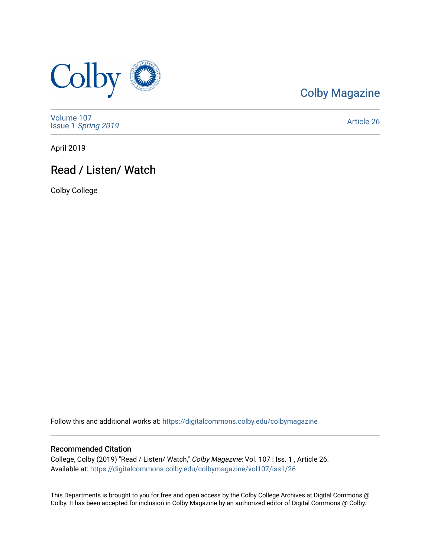

### [Colby Magazine](https://digitalcommons.colby.edu/colbymagazine)

[Volume 107](https://digitalcommons.colby.edu/colbymagazine/vol107) Issue 1 [Spring 2019](https://digitalcommons.colby.edu/colbymagazine/vol107/iss1) 

[Article 26](https://digitalcommons.colby.edu/colbymagazine/vol107/iss1/26) 

April 2019

### Read / Listen/ Watch

Colby College

Follow this and additional works at: [https://digitalcommons.colby.edu/colbymagazine](https://digitalcommons.colby.edu/colbymagazine?utm_source=digitalcommons.colby.edu%2Fcolbymagazine%2Fvol107%2Fiss1%2F26&utm_medium=PDF&utm_campaign=PDFCoverPages)

#### Recommended Citation

College, Colby (2019) "Read / Listen/ Watch," Colby Magazine: Vol. 107 : Iss. 1 , Article 26. Available at: [https://digitalcommons.colby.edu/colbymagazine/vol107/iss1/26](https://digitalcommons.colby.edu/colbymagazine/vol107/iss1/26?utm_source=digitalcommons.colby.edu%2Fcolbymagazine%2Fvol107%2Fiss1%2F26&utm_medium=PDF&utm_campaign=PDFCoverPages)

This Departments is brought to you for free and open access by the Colby College Archives at Digital Commons @ Colby. It has been accepted for inclusion in Colby Magazine by an authorized editor of Digital Commons @ Colby.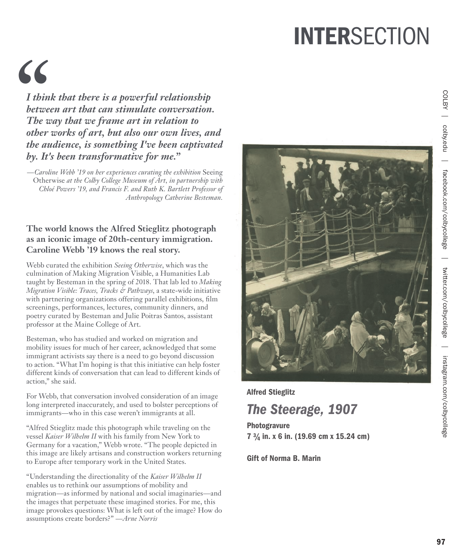# **INTERSECTION**

# *"*

*I think that there is a powerful relationship between art that can stimulate conversation. The way that we frame art in relation to other works of art, but also our own lives, and the audience, is something I've been captivated by. It's been transformative for me."*

*—Caroline Webb '19 on her experiences curating the exhibition* Seeing Otherwise *at the Colby College Museum of Art, in partnership with Chloé Powers '19, and Francis F. and Ruth K. Bartlett Professor of Anthropology Catherine Besteman.* 

### **The world knows the Alfred Stieglitz photograph as an iconic image of 20th-century immigration. Caroline Webb '19 knows the real story.**

Webb curated the exhibition *Seeing Otherwise*, which was the culmination of Making Migration Visible, a Humanities Lab taught by Besteman in the spring of 2018. That lab led to *Making Migration Visible: Traces, Tracks & Pathways*, a state-wide initiative with partnering organizations offering parallel exhibitions, film screenings, performances, lectures, community dinners, and poetry curated by Besteman and Julie Poitras Santos, assistant professor at the Maine College of Art.

Besteman, who has studied and worked on migration and mobility issues for much of her career, acknowledged that some immigrant activists say there is a need to go beyond discussion to action. "What I'm hoping is that this initiative can help foster different kinds of conversation that can lead to different kinds of action," she said.

For Webb, that conversation involved consideration of an image long interpreted inaccurately, and used to bolster perceptions of immigrants—who in this case weren't immigrants at all.

"Alfred Stieglitz made this photograph while traveling on the vessel *Kaiser Wilhelm II* with his family from New York to Germany for a vacation," Webb wrote. "The people depicted in this image are likely artisans and construction workers returning to Europe after temporary work in the United States.

"Understanding the directionality of the *Kaiser Wilhelm II* enables us to rethink our assumptions of mobility and migration—as informed by national and social imaginaries—and the images that perpetuate these imagined stories. For me, this image provokes questions: What is left out of the image? How do assumptions create borders?" *—Arne Norris*



Alfred Stieglitz

## *The Steerage, 1907*

Photogravure 7 3 /4 in. x 6 in. (19.69 cm x 15.24 cm)

Gift of Norma B. Marin